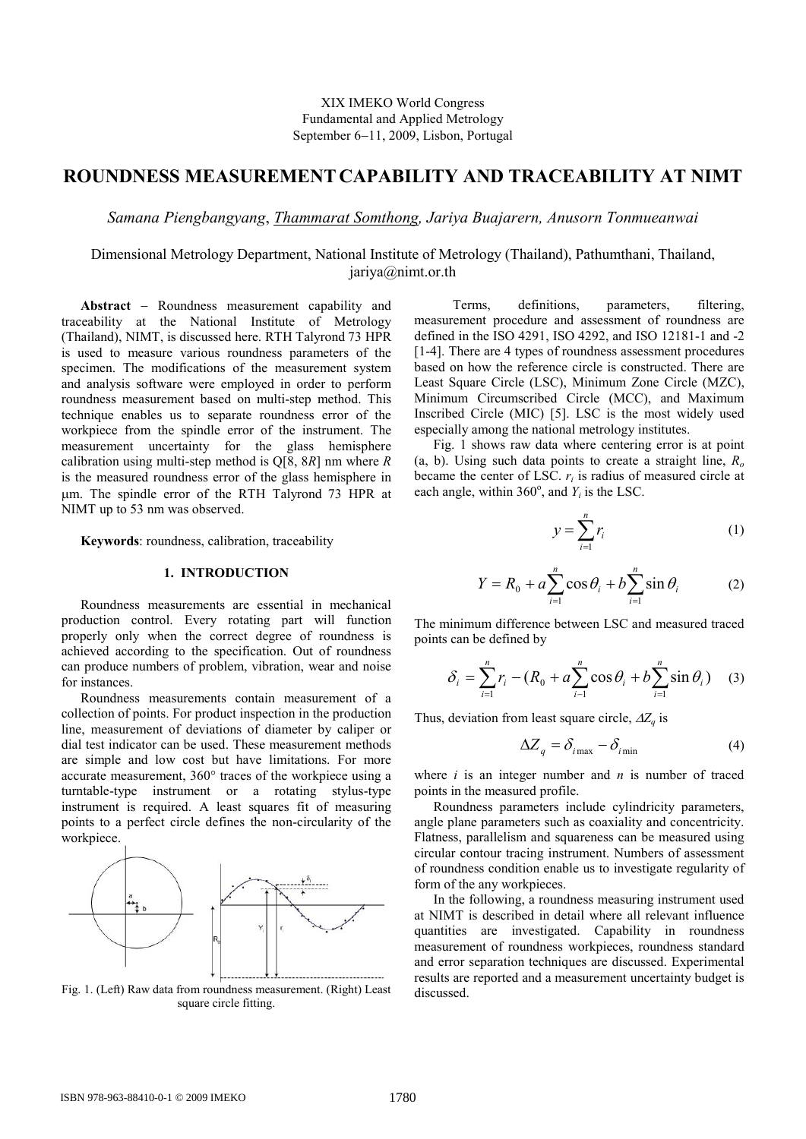# **ROUNDNESS MEASUREMENT CAPABILITY AND TRACEABILITY AT NIMT**

*Samana Piengbangyang*, *Thammarat Somthong, Jariya Buajarern, Anusorn Tonmueanwai*

## Dimensional Metrology Department, National Institute of Metrology (Thailand), Pathumthani, Thailand, jariya@nimt.or.th

**Abstract** − Roundness measurement capability and traceability at the National Institute of Metrology (Thailand), NIMT, is discussed here. RTH Talyrond 73 HPR is used to measure various roundness parameters of the specimen. The modifications of the measurement system and analysis software were employed in order to perform roundness measurement based on multi-step method. This technique enables us to separate roundness error of the workpiece from the spindle error of the instrument. The measurement uncertainty for the glass hemisphere calibration using multi-step method is Q[8, 8*R*] nm where *R* is the measured roundness error of the glass hemisphere in µm. The spindle error of the RTH Talyrond 73 HPR at NIMT up to 53 nm was observed.

**Keywords**: roundness, calibration, traceability

### **1. INTRODUCTION**

Roundness measurements are essential in mechanical production control. Every rotating part will function properly only when the correct degree of roundness is achieved according to the specification. Out of roundness can produce numbers of problem, vibration, wear and noise for instances.

Roundness measurements contain measurement of a collection of points. For product inspection in the production line, measurement of deviations of diameter by caliper or dial test indicator can be used. These measurement methods are simple and low cost but have limitations. For more accurate measurement, 360° traces of the workpiece using a turntable-type instrument or a rotating stylus-type instrument is required. A least squares fit of measuring points to a perfect circle defines the non-circularity of the workpiece.



Fig. 1. (Left) Raw data from roundness measurement. (Right) Least square circle fitting.

 Terms, definitions, parameters, filtering, measurement procedure and assessment of roundness are defined in the ISO 4291, ISO 4292, and ISO 12181-1 and -2 [1-4]. There are 4 types of roundness assessment procedures based on how the reference circle is constructed. There are Least Square Circle (LSC), Minimum Zone Circle (MZC), Minimum Circumscribed Circle (MCC), and Maximum Inscribed Circle (MIC) [5]. LSC is the most widely used especially among the national metrology institutes.

Fig. 1 shows raw data where centering error is at point (a, b). Using such data points to create a straight line, *R<sup>o</sup>* became the center of LSC.  $r_i$  is radius of measured circle at each angle, within 360 $^{\circ}$ , and  $Y_i$  is the LSC.

$$
y = \sum_{i=1}^{n} r_i \tag{1}
$$

$$
Y = R_0 + a \sum_{i=1}^{n} \cos \theta_i + b \sum_{i=1}^{n} \sin \theta_i
$$
 (2)

The minimum difference between LSC and measured traced points can be defined by

$$
\delta_i = \sum_{i=1}^n r_i - (R_0 + a \sum_{i=1}^n \cos \theta_i + b \sum_{i=1}^n \sin \theta_i)
$$
 (3)

Thus, deviation from least square circle, ∆*Z<sup>q</sup>* is

$$
\Delta Z_q = \delta_{i_{\text{max}}} - \delta_{i_{\text{min}}} \tag{4}
$$

where  $i$  is an integer number and  $n$  is number of traced points in the measured profile.

 Roundness parameters include cylindricity parameters, angle plane parameters such as coaxiality and concentricity. Flatness, parallelism and squareness can be measured using circular contour tracing instrument. Numbers of assessment of roundness condition enable us to investigate regularity of form of the any workpieces.

In the following, a roundness measuring instrument used at NIMT is described in detail where all relevant influence quantities are investigated. Capability in roundness measurement of roundness workpieces, roundness standard and error separation techniques are discussed. Experimental results are reported and a measurement uncertainty budget is discussed.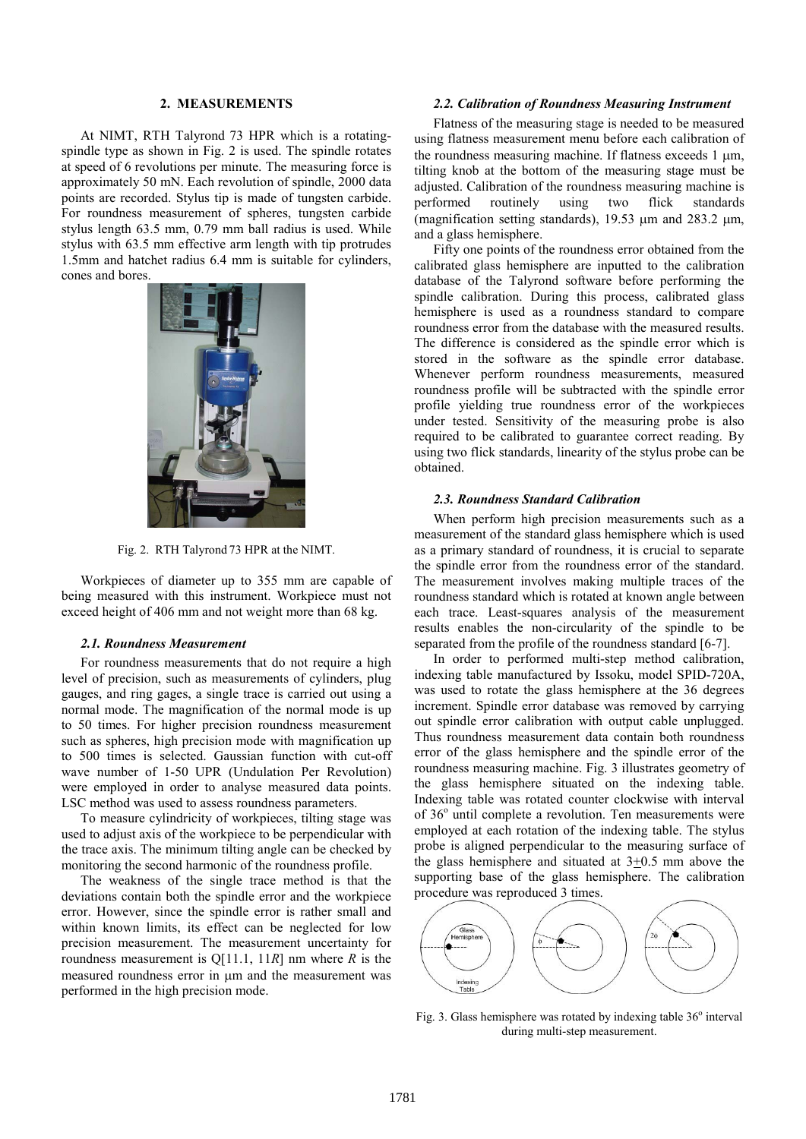#### **2. MEASUREMENTS**

At NIMT, RTH Talyrond 73 HPR which is a rotatingspindle type as shown in Fig. 2 is used. The spindle rotates at speed of 6 revolutions per minute. The measuring force is approximately 50 mN. Each revolution of spindle, 2000 data points are recorded. Stylus tip is made of tungsten carbide. For roundness measurement of spheres, tungsten carbide stylus length 63.5 mm, 0.79 mm ball radius is used. While stylus with 63.5 mm effective arm length with tip protrudes 1.5mm and hatchet radius 6.4 mm is suitable for cylinders, cones and bores.



Fig. 2. RTH Talyrond 73 HPR at the NIMT.

Workpieces of diameter up to 355 mm are capable of being measured with this instrument. Workpiece must not exceed height of 406 mm and not weight more than 68 kg.

#### *2.1. Roundness Measurement*

For roundness measurements that do not require a high level of precision, such as measurements of cylinders, plug gauges, and ring gages, a single trace is carried out using a normal mode. The magnification of the normal mode is up to 50 times. For higher precision roundness measurement such as spheres, high precision mode with magnification up to 500 times is selected. Gaussian function with cut-off wave number of 1-50 UPR (Undulation Per Revolution) were employed in order to analyse measured data points. LSC method was used to assess roundness parameters.

To measure cylindricity of workpieces, tilting stage was used to adjust axis of the workpiece to be perpendicular with the trace axis. The minimum tilting angle can be checked by monitoring the second harmonic of the roundness profile.

The weakness of the single trace method is that the deviations contain both the spindle error and the workpiece error. However, since the spindle error is rather small and within known limits, its effect can be neglected for low precision measurement. The measurement uncertainty for roundness measurement is Q[11.1, 11*R*] nm where *R* is the measured roundness error in um and the measurement was performed in the high precision mode.

#### *2.2. Calibration of Roundness Measuring Instrument*

Flatness of the measuring stage is needed to be measured using flatness measurement menu before each calibration of the roundness measuring machine. If flatness exceeds  $1 \mu m$ , tilting knob at the bottom of the measuring stage must be adjusted. Calibration of the roundness measuring machine is performed routinely using two flick standards (magnification setting standards), 19.53  $\mu$ m and 283.2  $\mu$ m, and a glass hemisphere.

Fifty one points of the roundness error obtained from the calibrated glass hemisphere are inputted to the calibration database of the Talyrond software before performing the spindle calibration. During this process, calibrated glass hemisphere is used as a roundness standard to compare roundness error from the database with the measured results. The difference is considered as the spindle error which is stored in the software as the spindle error database. Whenever perform roundness measurements, measured roundness profile will be subtracted with the spindle error profile yielding true roundness error of the workpieces under tested. Sensitivity of the measuring probe is also required to be calibrated to guarantee correct reading. By using two flick standards, linearity of the stylus probe can be obtained.

### *2.3. Roundness Standard Calibration*

When perform high precision measurements such as a measurement of the standard glass hemisphere which is used as a primary standard of roundness, it is crucial to separate the spindle error from the roundness error of the standard. The measurement involves making multiple traces of the roundness standard which is rotated at known angle between each trace. Least-squares analysis of the measurement results enables the non-circularity of the spindle to be separated from the profile of the roundness standard [6-7].

In order to performed multi-step method calibration, indexing table manufactured by Issoku, model SPID-720A, was used to rotate the glass hemisphere at the 36 degrees increment. Spindle error database was removed by carrying out spindle error calibration with output cable unplugged. Thus roundness measurement data contain both roundness error of the glass hemisphere and the spindle error of the roundness measuring machine. Fig. 3 illustrates geometry of the glass hemisphere situated on the indexing table. Indexing table was rotated counter clockwise with interval of 36<sup>°</sup> until complete a revolution. Ten measurements were employed at each rotation of the indexing table. The stylus probe is aligned perpendicular to the measuring surface of the glass hemisphere and situated at 3+0.5 mm above the supporting base of the glass hemisphere. The calibration procedure was reproduced 3 times.



Fig. 3. Glass hemisphere was rotated by indexing table 36° interval during multi-step measurement.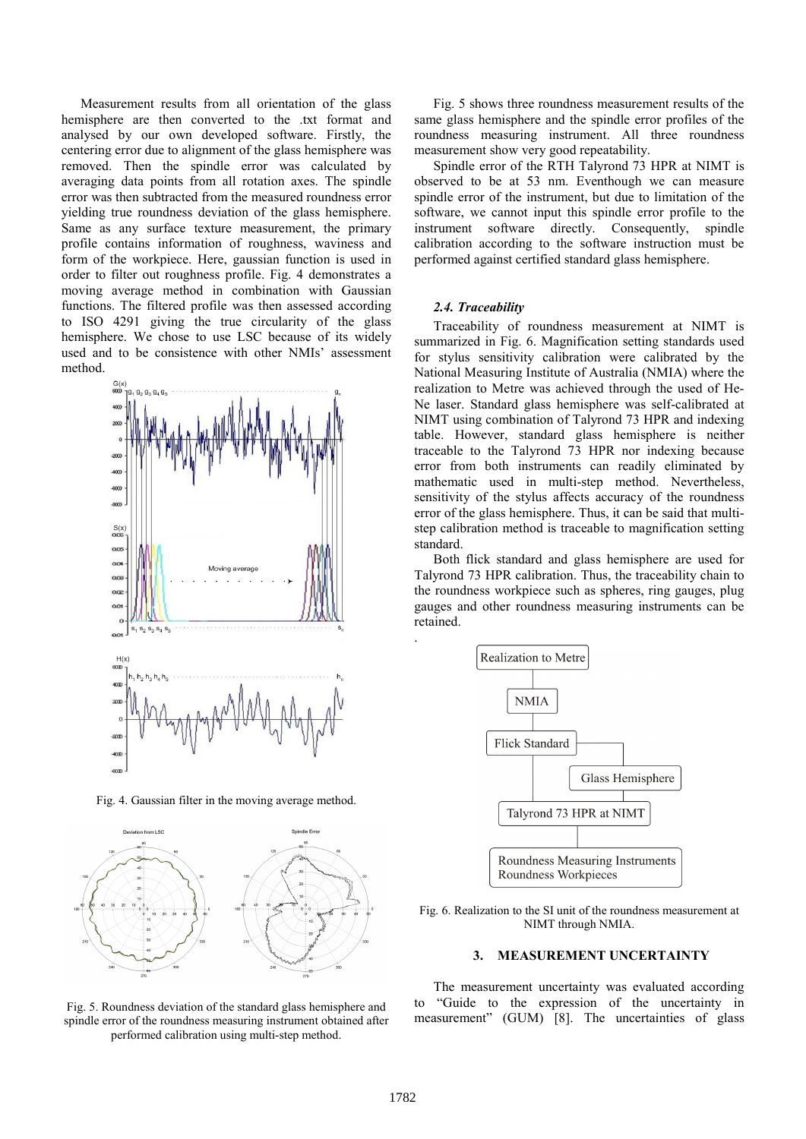Measurement results from all orientation of the glass hemisphere are then converted to the .txt format and analysed by our own developed software. Firstly, the centering error due to alignment of the glass hemisphere was removed. Then the spindle error was calculated by averaging data points from all rotation axes. The spindle error was then subtracted from the measured roundness error yielding true roundness deviation of the glass hemisphere. Same as any surface texture measurement, the primary profile contains information of roughness, waviness and form of the workpiece. Here, gaussian function is used in order to filter out roughness profile. Fig. 4 demonstrates a moving average method in combination with Gaussian functions. The filtered profile was then assessed according to ISO 4291 giving the true circularity of the glass hemisphere. We chose to use LSC because of its widely used and to be consistence with other NMIs' assessment method.



Fig. 4. Gaussian filter in the moving average method.



Fig. 5. Roundness deviation of the standard glass hemisphere and spindle error of the roundness measuring instrument obtained after performed calibration using multi-step method.

Fig. 5 shows three roundness measurement results of the same glass hemisphere and the spindle error profiles of the roundness measuring instrument. All three roundness measurement show very good repeatability.

Spindle error of the RTH Talyrond 73 HPR at NIMT is observed to be at 53 nm. Eventhough we can measure spindle error of the instrument, but due to limitation of the software, we cannot input this spindle error profile to the instrument software directly. Consequently, spindle calibration according to the software instruction must be performed against certified standard glass hemisphere.

#### *2.4. Traceability*

 Traceability of roundness measurement at NIMT is summarized in Fig. 6. Magnification setting standards used for stylus sensitivity calibration were calibrated by the National Measuring Institute of Australia (NMIA) where the realization to Metre was achieved through the used of He-Ne laser. Standard glass hemisphere was self-calibrated at NIMT using combination of Talyrond 73 HPR and indexing table. However, standard glass hemisphere is neither traceable to the Talyrond 73 HPR nor indexing because error from both instruments can readily eliminated by mathematic used in multi-step method. Nevertheless, sensitivity of the stylus affects accuracy of the roundness error of the glass hemisphere. Thus, it can be said that multistep calibration method is traceable to magnification setting standard.

Both flick standard and glass hemisphere are used for Talyrond 73 HPR calibration. Thus, the traceability chain to the roundness workpiece such as spheres, ring gauges, plug gauges and other roundness measuring instruments can be retained.



Fig. 6. Realization to the SI unit of the roundness measurement at NIMT through NMIA.

#### **3. MEASUREMENT UNCERTAINTY**

The measurement uncertainty was evaluated according to "Guide to the expression of the uncertainty in measurement" (GUM) [8]. The uncertainties of glass

.